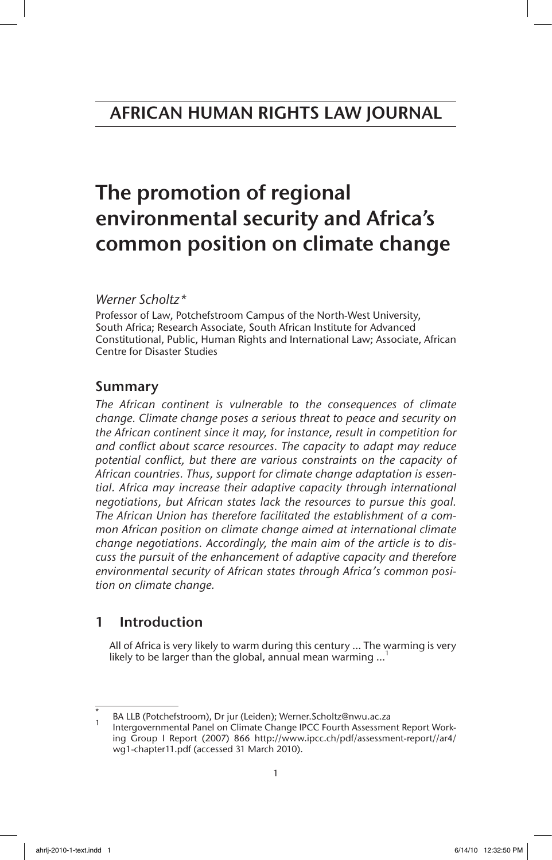# The promotion of regional environmental security and Africa's common position on climate change

*Werner Scholtz\**

Professor of Law, Potchefstroom Campus of the North-West University, South Africa; Research Associate, South African Institute for Advanced Constitutional, Public, Human Rights and International Law; Associate, African Centre for Disaster Studies

## Summary

*The African continent is vulnerable to the consequences of climate change. Climate change poses a serious threat to peace and security on the African continent since it may, for instance, result in competition for and conflict about scarce resources. The capacity to adapt may reduce potential conflict, but there are various constraints on the capacity of African countries. Thus, support for climate change adaptation is essential. Africa may increase their adaptive capacity through international negotiations, but African states lack the resources to pursue this goal. The African Union has therefore facilitated the establishment of a common African position on climate change aimed at international climate change negotiations. Accordingly, the main aim of the article is to discuss the pursuit of the enhancement of adaptive capacity and therefore environmental security of African states through Africa's common position on climate change.*

## 1 Introduction

All of Africa is very likely to warm during this century … The warming is very likely to be larger than the global, annual mean warming ...

<sup>\*</sup> BA LLB (Potchefstroom), Dr jur (Leiden); Werner.Scholtz@nwu.ac.za <sup>1</sup> Intergovernmental Panel on Climate Change IPCC Fourth Assessment Report Working Group I Report (2007) 866 http://www.ipcc.ch/pdf/assessment-report//ar4/ wg1-chapter11.pdf (accessed 31 March 2010).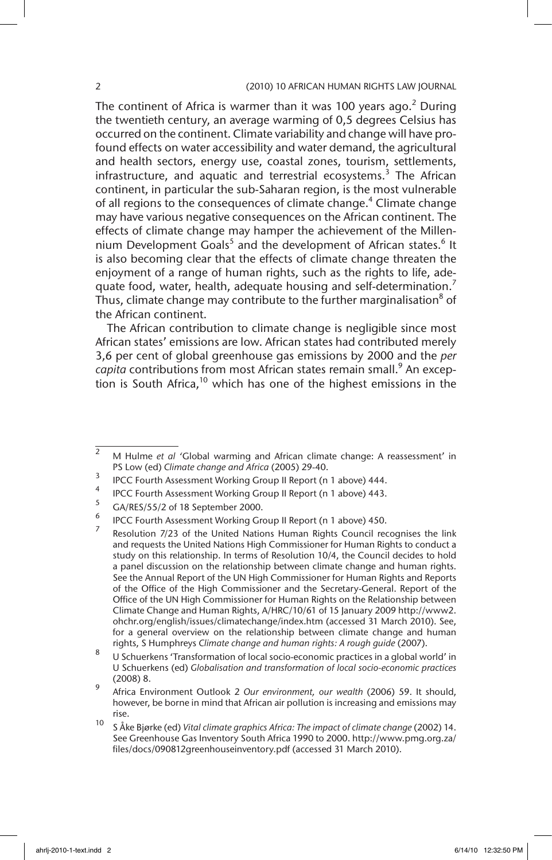#### 2 (2010) 10 AFRICAN HUMAN RIGHTS LAW JOURNAL

The continent of Africa is warmer than it was 100 years ago. $2$  During the twentieth century, an average warming of 0,5 degrees Celsius has occurred on the continent. Climate variability and change will have profound effects on water accessibility and water demand, the agricultural and health sectors, energy use, coastal zones, tourism, settlements, infrastructure, and aquatic and terrestrial ecosystems.<sup>3</sup> The African continent, in particular the sub-Saharan region, is the most vulnerable of all regions to the consequences of climate change.<sup>4</sup> Climate change may have various negative consequences on the African continent. The effects of climate change may hamper the achievement of the Millennium Development Goals<sup>5</sup> and the development of African states.<sup>6</sup> It is also becoming clear that the effects of climate change threaten the enjoyment of a range of human rights, such as the rights to life, adequate food, water, health, adequate housing and self-determination.<sup>7</sup> Thus, climate change may contribute to the further marginalisation<sup>8</sup> of the African continent.

The African contribution to climate change is negligible since most African states' emissions are low. African states had contributed merely 3,6 per cent of global greenhouse gas emissions by 2000 and the *per*  capita contributions from most African states remain small.<sup>9</sup> An exception is South Africa,<sup>10</sup> which has one of the highest emissions in the

<sup>&</sup>lt;sup>2</sup> M Hulme *et al* 'Global warming and African climate change: A reassessment' in PS Low (ed) *Climate change and Africa* (2005) 29-40.

<sup>3</sup> IPCC Fourth Assessment Working Group II Report (n 1 above) 444.

<sup>&</sup>lt;sup>4</sup> IPCC Fourth Assessment Working Group II Report (n 1 above) 443.

 $\frac{5}{6}$  GA/RES/55/2 of 18 September 2000.

<sup>&</sup>lt;sup>6</sup> IPCC Fourth Assessment Working Group II Report (n 1 above) 450.

<sup>7</sup> Resolution 7/23 of the United Nations Human Rights Council recognises the link and requests the United Nations High Commissioner for Human Rights to conduct a study on this relationship. In terms of Resolution 10/4, the Council decides to hold a panel discussion on the relationship between climate change and human rights. See the Annual Report of the UN High Commissioner for Human Rights and Reports of the Office of the High Commissioner and the Secretary-General. Report of the Office of the UN High Commissioner for Human Rights on the Relationship between Climate Change and Human Rights, A/HRC/10/61 of 15 January 2009 http://www2. ohchr.org/english/issues/climatechange/index.htm (accessed 31 March 2010). See, for a general overview on the relationship between climate change and human rights, S Humphreys *Climate change and human rights: A rough guide* (2007).

<sup>8</sup> U Schuerkens 'Transformation of local socio-economic practices in a global world' in U Schuerkens (ed) *Globalisation and transformation of local socio-economic practices* (2008) 8.

<sup>9</sup> Africa Environment Outlook 2 *Our environment, our wealth* (2006) 59. It should, however, be borne in mind that African air pollution is increasing and emissions may rise.

<sup>10</sup> S Åke Bjørke (ed) *Vital climate graphics Africa: The impact of climate change* (2002) 14. See Greenhouse Gas Inventory South Africa 1990 to 2000. http://www.pmg.org.za/ files/docs/090812greenhouseinventory.pdf (accessed 31 March 2010).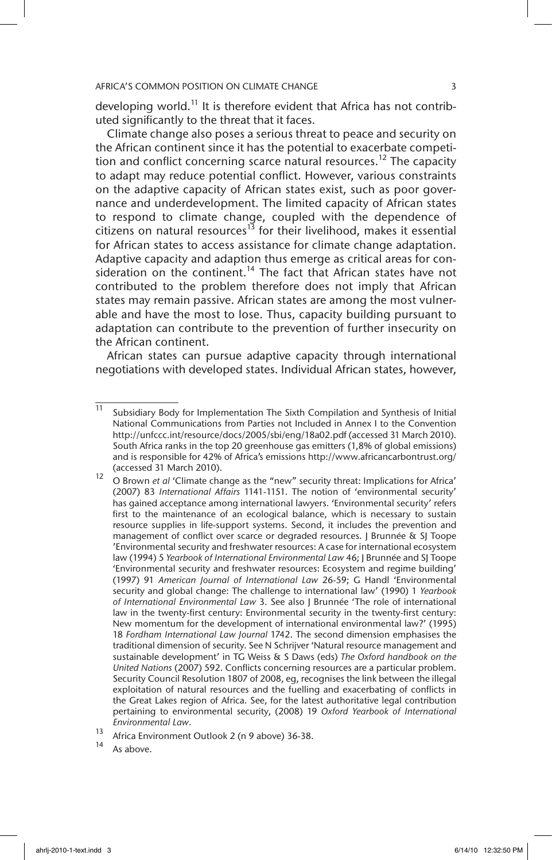developing world.<sup>11</sup> It is therefore evident that Africa has not contributed significantly to the threat that it faces.

Climate change also poses a serious threat to peace and security on the African continent since it has the potential to exacerbate competition and conflict concerning scarce natural resources.<sup>12</sup> The capacity to adapt may reduce potential conflict. However, various constraints on the adaptive capacity of African states exist, such as poor governance and underdevelopment. The limited capacity of African states to respond to climate change, coupled with the dependence of citizens on natural resources<sup>13</sup> for their livelihood, makes it essential for African states to access assistance for climate change adaptation. Adaptive capacity and adaption thus emerge as critical areas for consideration on the continent.<sup>14</sup> The fact that African states have not contributed to the problem therefore does not imply that African states may remain passive. African states are among the most vulnerable and have the most to lose. Thus, capacity building pursuant to adaptation can contribute to the prevention of further insecurity on the African continent.

African states can pursue adaptive capacity through international negotiations with developed states. Individual African states, however,

<sup>11</sup> Subsidiary Body for Implementation The Sixth Compilation and Synthesis of Initial National Communications from Parties not Included in Annex I to the Convention http://unfccc.int/resource/docs/2005/sbi/eng/18a02.pdf (accessed 31 March 2010). South Africa ranks in the top 20 greenhouse gas emitters (1,8% of global emissions) and is responsible for 42% of Africa's emissions http://www.africancarbontrust.org/ (accessed 31 March 2010).

<sup>12</sup> O Brown *et al* 'Climate change as the "new" security threat: Implications for Africa' (2007) 83 *International Affairs* 1141-1151. The notion of 'environmental security' has gained acceptance among international lawyers. 'Environmental security' refers first to the maintenance of an ecological balance, which is necessary to sustain resource supplies in life-support systems. Second, it includes the prevention and management of conflict over scarce or degraded resources. J Brunnée & SJ Toope 'Environmental security and freshwater resources: A case for international ecosystem law (1994) 5 *Yearbook of International Environmental Law* 46; J Brunnée and SJ Toope 'Environmental security and freshwater resources: Ecosystem and regime building' (1997) 91 *American Journal of International Law* 26-59; G Handl 'Environmental security and global change: The challenge to international law' (1990) 1 *Yearbook of International Environmental Law* 3. See also J Brunnée 'The role of international law in the twenty-first century: Environmental security in the twenty-first century: New momentum for the development of international environmental law?' (1995) 18 *Fordham International Law Journal* 1742. The second dimension emphasises the traditional dimension of security. See N Schrijver 'Natural resource management and sustainable development' in TG Weiss & S Daws (eds) *The Oxford handbook on the United Nations* (2007) 592. Conflicts concerning resources are a particular problem. Security Council Resolution 1807 of 2008, eg, recognises the link between the illegal exploitation of natural resources and the fuelling and exacerbating of conflicts in the Great Lakes region of Africa. See, for the latest authoritative legal contribution pertaining to environmental security, (2008) 19 *Oxford Yearbook of International Environmental Law*.

<sup>&</sup>lt;sup>13</sup> Africa Environment Outlook 2 (n 9 above) 36-38.

As above.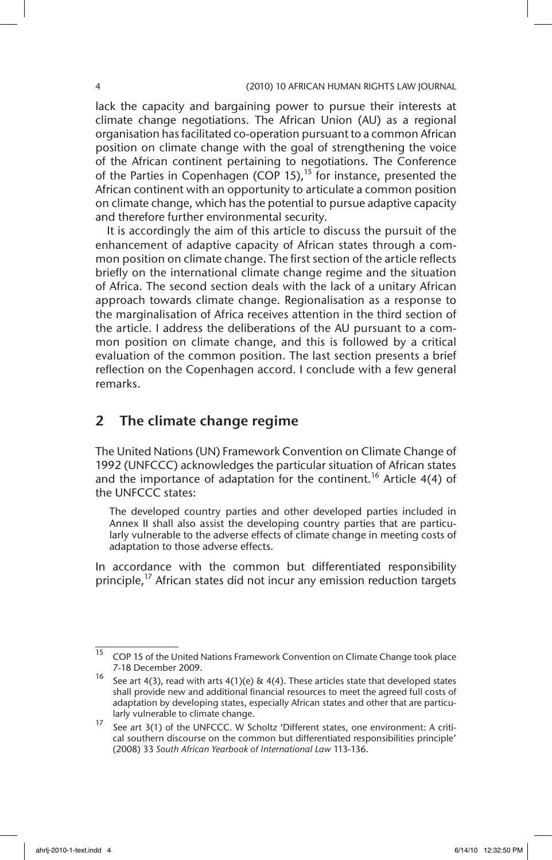lack the capacity and bargaining power to pursue their interests at climate change negotiations. The African Union (AU) as a regional organisation has facilitated co-operation pursuant to a common African position on climate change with the goal of strengthening the voice of the African continent pertaining to negotiations. The Conference of the Parties in Copenhagen (COP 15),<sup>15</sup> for instance, presented the African continent with an opportunity to articulate a common position on climate change, which has the potential to pursue adaptive capacity and therefore further environmental security.

It is accordingly the aim of this article to discuss the pursuit of the enhancement of adaptive capacity of African states through a common position on climate change. The first section of the article reflects briefly on the international climate change regime and the situation of Africa. The second section deals with the lack of a unitary African approach towards climate change. Regionalisation as a response to the marginalisation of Africa receives attention in the third section of the article. I address the deliberations of the AU pursuant to a common position on climate change, and this is followed by a critical evaluation of the common position. The last section presents a brief reflection on the Copenhagen accord. I conclude with a few general remarks.

## 2 The climate change regime

The United Nations (UN) Framework Convention on Climate Change of 1992 (UNFCCC) acknowledges the particular situation of African states and the importance of adaptation for the continent.<sup>16</sup> Article 4(4) of the UNFCCC states:

The developed country parties and other developed parties included in Annex II shall also assist the developing country parties that are particularly vulnerable to the adverse effects of climate change in meeting costs of adaptation to those adverse effects.

In accordance with the common but differentiated responsibility principle,<sup>17</sup> African states did not incur any emission reduction targets

 $\overline{15}$  COP 15 of the United Nations Framework Convention on Climate Change took place 7-18 December 2009.

<sup>&</sup>lt;sup>16</sup> See art 4(3), read with arts 4(1)(e) & 4(4). These articles state that developed states shall provide new and additional financial resources to meet the agreed full costs of adaptation by developing states, especially African states and other that are particularly vulnerable to climate change.

<sup>17</sup> See art 3(1) of the UNFCCC. W Scholtz 'Different states, one environment: A critical southern discourse on the common but differentiated responsibilities principle' (2008) 33 *South African Yearbook of International Law* 113-136.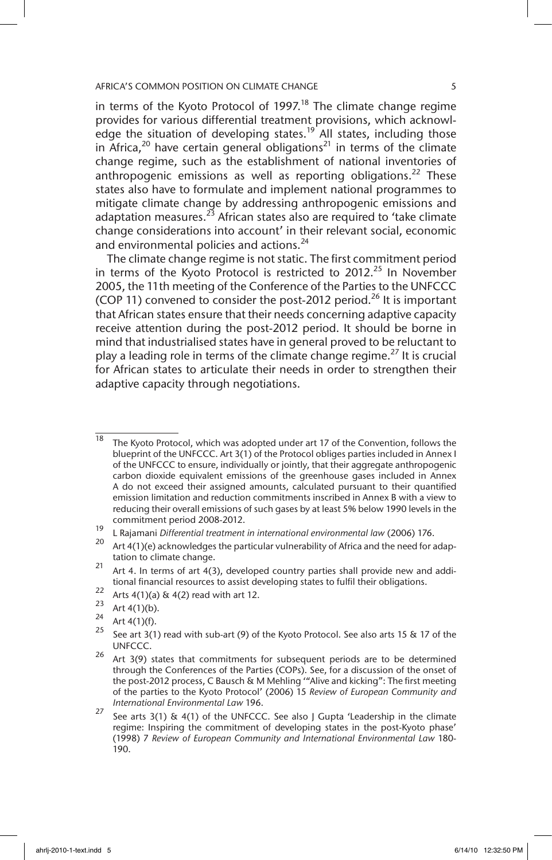in terms of the Kyoto Protocol of 1997.<sup>18</sup> The climate change regime provides for various differential treatment provisions, which acknowledge the situation of developing states.<sup>19</sup> All states, including those in Africa,<sup>20</sup> have certain general obligations<sup>21</sup> in terms of the climate change regime, such as the establishment of national inventories of anthropogenic emissions as well as reporting obligations.<sup>22</sup> These states also have to formulate and implement national programmes to mitigate climate change by addressing anthropogenic emissions and adaptation measures. $^{23}$  African states also are required to 'take climate change considerations into account' in their relevant social, economic and environmental policies and actions.<sup>24</sup>

The climate change regime is not static. The first commitment period in terms of the Kyoto Protocol is restricted to 2012.<sup>25</sup> In November 2005, the 11th meeting of the Conference of the Parties to the UNFCCC (COP 11) convened to consider the post-2012 period.<sup>26</sup> It is important that African states ensure that their needs concerning adaptive capacity receive attention during the post-2012 period. It should be borne in mind that industrialised states have in general proved to be reluctant to play a leading role in terms of the climate change regime.<sup>27</sup> It is crucial for African states to articulate their needs in order to strengthen their adaptive capacity through negotiations.

<sup>&</sup>lt;sup>18</sup> The Kyoto Protocol, which was adopted under art 17 of the Convention, follows the blueprint of the UNFCCC. Art 3(1) of the Protocol obliges parties included in Annex I of the UNFCCC to ensure, individually or jointly, that their aggregate anthropogenic carbon dioxide equivalent emissions of the greenhouse gases included in Annex A do not exceed their assigned amounts, calculated pursuant to their quantified emission limitation and reduction commitments inscribed in Annex B with a view to reducing their overall emissions of such gases by at least 5% below 1990 levels in the commitment period 2008-2012.

<sup>19</sup> L Rajamani *Differential treatment in international environmental law* (2006) 176.

Art  $4(1)(e)$  acknowledges the particular vulnerability of Africa and the need for adaptation to climate change.

<sup>&</sup>lt;sup>21</sup> Art 4. In terms of art  $\frac{3}{2}$ , developed country parties shall provide new and additional financial resources to assist developing states to fulfil their obligations.

<sup>22</sup> Arts 4(1)(a) & 4(2) read with art 12.

 $\frac{23}{24}$  Art 4(1)(b).

 $\frac{24}{25}$  Art 4(1)(f).

See art 3(1) read with sub-art (9) of the Kyoto Protocol. See also arts 15 & 17 of the UNFCCC.

 $26$  Art 3(9) states that commitments for subsequent periods are to be determined through the Conferences of the Parties (COPs). See, for a discussion of the onset of the post-2012 process, C Bausch & M Mehling '"Alive and kicking": The first meeting of the parties to the Kyoto Protocol' (2006) 15 *Review of European Community and International Environmental Law* 196.

<sup>27</sup> See arts 3(1) & 4(1) of the UNFCCC. See also | Gupta 'Leadership in the climate regime: Inspiring the commitment of developing states in the post-Kyoto phase' (1998) 7 *Review of European Community and International Environmental Law* 180- 190.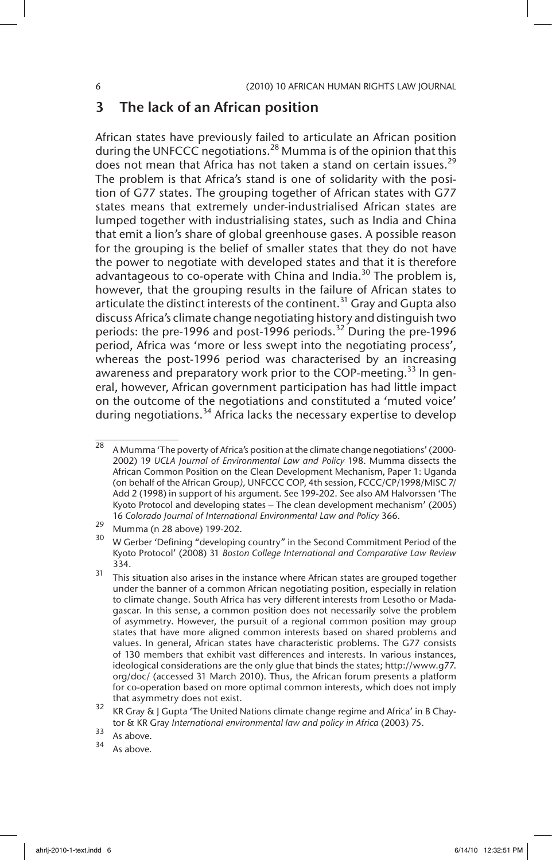### 3 The lack of an African position

African states have previously failed to articulate an African position during the UNFCCC negotiations.<sup>28</sup> Mumma is of the opinion that this does not mean that Africa has not taken a stand on certain issues.<sup>29</sup> The problem is that Africa's stand is one of solidarity with the position of G77 states. The grouping together of African states with G77 states means that extremely under-industrialised African states are lumped together with industrialising states, such as India and China that emit a lion's share of global greenhouse gases. A possible reason for the grouping is the belief of smaller states that they do not have the power to negotiate with developed states and that it is therefore advantageous to co-operate with China and India.<sup>30</sup> The problem is, however, that the grouping results in the failure of African states to articulate the distinct interests of the continent.<sup>31</sup> Gray and Gupta also discuss Africa's climate change negotiating history and distinguish two periods: the pre-1996 and post-1996 periods.<sup>32</sup> During the pre-1996 period, Africa was 'more or less swept into the negotiating process', whereas the post-1996 period was characterised by an increasing awareness and preparatory work prior to the COP-meeting.<sup>33</sup> In general, however, African government participation has had little impact on the outcome of the negotiations and constituted a 'muted voice' during negotiations.<sup>34</sup> Africa lacks the necessary expertise to develop

 $\overline{28}$  A Mumma 'The poverty of Africa's position at the climate change negotiations' (2000-2002) 19 *UCLA Journal of Environmental Law and Policy* 198. Mumma dissects the African Common Position on the Clean Development Mechanism, Paper 1: Uganda (on behalf of the African Group*),* UNFCCC COP, 4th session, FCCC/CP/1998/MISC 7/ Add 2 (1998) in support of his argument. See 199-202. See also AM Halvorssen 'The Kyoto Protocol and developing states – The clean development mechanism' (2005) 16 *Colorado Journal of International Environmental Law and Policy* 366.

<sup>&</sup>lt;sup>29</sup> Mumma (n 28 above) 199-202.

<sup>30</sup> W Gerber 'Defining "developing country" in the Second Commitment Period of the Kyoto Protocol' (2008) 31 *Boston College International and Comparative Law Review*  334.

<sup>&</sup>lt;sup>31</sup> This situation also arises in the instance where African states are grouped together under the banner of a common African negotiating position, especially in relation to climate change. South Africa has very different interests from Lesotho or Madagascar. In this sense, a common position does not necessarily solve the problem of asymmetry. However, the pursuit of a regional common position may group states that have more aligned common interests based on shared problems and values. In general, African states have characteristic problems. The G77 consists of 130 members that exhibit vast differences and interests. In various instances, ideological considerations are the only glue that binds the states; http://www.g77. org/doc/ (accessed 31 March 2010). Thus, the African forum presents a platform for co-operation based on more optimal common interests, which does not imply that asymmetry does not exist.

<sup>&</sup>lt;sup>32</sup> KR Gray & J Gupta 'The United Nations climate change regime and Africa' in B Chaytor & KR Gray *International environmental law and policy in Africa* (2003) 75.

 $33$  As above.

As above.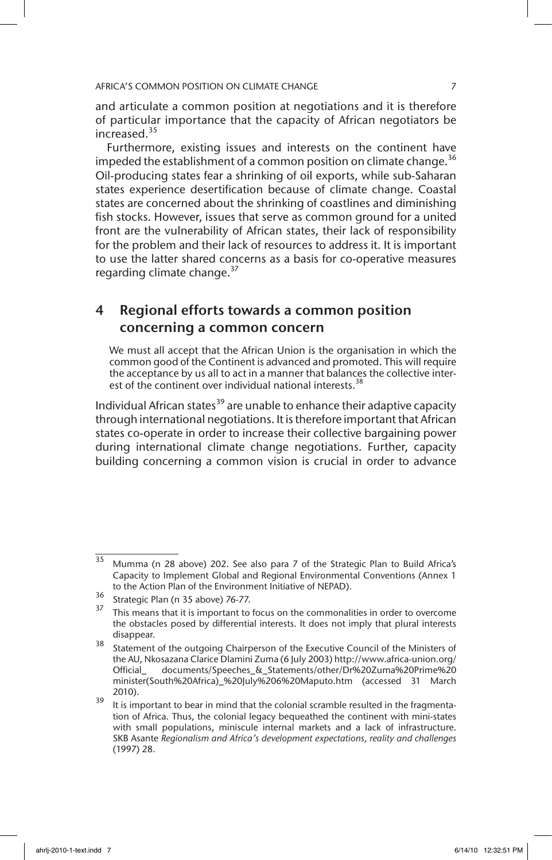and articulate a common position at negotiations and it is therefore of particular importance that the capacity of African negotiators be increased.<sup>35</sup>

Furthermore, existing issues and interests on the continent have impeded the establishment of a common position on climate change.<sup>36</sup> Oil-producing states fear a shrinking of oil exports, while sub-Saharan states experience desertification because of climate change. Coastal states are concerned about the shrinking of coastlines and diminishing fish stocks. However, issues that serve as common ground for a united front are the vulnerability of African states, their lack of responsibility for the problem and their lack of resources to address it. It is important to use the latter shared concerns as a basis for co-operative measures regarding climate change.<sup>37</sup>

## 4 Regional efforts towards a common position concerning a common concern

We must all accept that the African Union is the organisation in which the common good of the Continent is advanced and promoted. This will require the acceptance by us all to act in a manner that balances the collective interest of the continent over individual national interests.<sup>3</sup>

Individual African states<sup>39</sup> are unable to enhance their adaptive capacity through international negotiations. It is therefore important that African states co-operate in order to increase their collective bargaining power during international climate change negotiations. Further, capacity building concerning a common vision is crucial in order to advance

 $\overline{35}$  Mumma (n 28 above) 202. See also para 7 of the Strategic Plan to Build Africa's Capacity to Implement Global and Regional Environmental Conventions (Annex 1 to the Action Plan of the Environment Initiative of NEPAD).

 $\frac{36}{37}$  Strategic Plan (n 35 above) 76-77.

This means that it is important to focus on the commonalities in order to overcome the obstacles posed by differential interests. It does not imply that plural interests disappear.

<sup>38</sup> Statement of the outgoing Chairperson of the Executive Council of the Ministers of the AU, Nkosazana Clarice Dlamini Zuma (6 July 2003) http://www.africa-union.org/ Official\_ documents/Speeches\_&\_Statements/other/Dr%20Zuma%20Prime%20 minister(South%20Africa)\_%20July%206%20Maputo.htm (accessed 31 March 2010).

<sup>&</sup>lt;sup>39</sup> It is important to bear in mind that the colonial scramble resulted in the fragmentation of Africa. Thus, the colonial legacy bequeathed the continent with mini-states with small populations, miniscule internal markets and a lack of infrastructure. SKB Asante *Regionalism and Africa's development expectations, reality and challenges*  (1997) 28.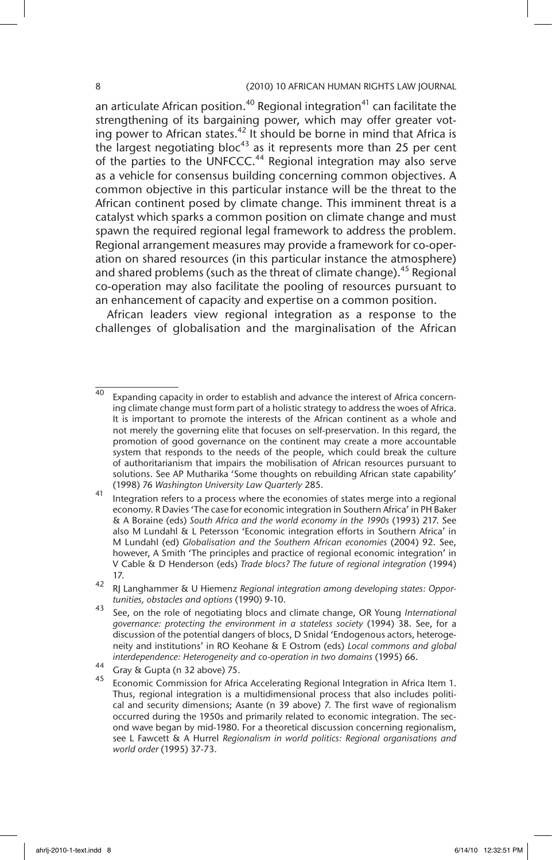#### 8 (2010) 10 AFRICAN HUMAN RIGHTS LAW JOURNAL

an articulate African position.<sup>40</sup> Regional integration<sup>41</sup> can facilitate the strengthening of its bargaining power, which may offer greater voting power to African states.<sup>42</sup> It should be borne in mind that Africa is the largest negotiating bloc<sup>43</sup> as it represents more than 25 per cent of the parties to the UNFCCC.44 Regional integration may also serve as a vehicle for consensus building concerning common objectives. A common objective in this particular instance will be the threat to the African continent posed by climate change. This imminent threat is a catalyst which sparks a common position on climate change and must spawn the required regional legal framework to address the problem. Regional arrangement measures may provide a framework for co-operation on shared resources (in this particular instance the atmosphere) and shared problems (such as the threat of climate change).  $45$  Regional co-operation may also facilitate the pooling of resources pursuant to an enhancement of capacity and expertise on a common position.

African leaders view regional integration as a response to the challenges of globalisation and the marginalisation of the African

 $40$  Expanding capacity in order to establish and advance the interest of Africa concerning climate change must form part of a holistic strategy to address the woes of Africa. It is important to promote the interests of the African continent as a whole and not merely the governing elite that focuses on self-preservation. In this regard, the promotion of good governance on the continent may create a more accountable system that responds to the needs of the people, which could break the culture of authoritarianism that impairs the mobilisation of African resources pursuant to solutions. See AP Mutharika 'Some thoughts on rebuilding African state capability' (1998) 76 *Washington University Law Quarterly* 285.

<sup>41</sup> Integration refers to a process where the economies of states merge into a regional economy. R Davies 'The case for economic integration in Southern Africa' in PH Baker & A Boraine (eds) *South Africa and the world economy in the 1990s* (1993) 217. See also M Lundahl & L Petersson 'Economic integration efforts in Southern Africa' in M Lundahl (ed) *Globalisation and the Southern African economies* (2004) 92. See, however, A Smith 'The principles and practice of regional economic integration' in V Cable & D Henderson (eds) *Trade blocs? The future of regional integration* (1994) 17.

<sup>42</sup> RJ Langhammer & U Hiemenz *Regional integration among developing states: Opportunities, obstacles and options* (1990) 9-10.

<sup>43</sup> See, on the role of negotiating blocs and climate change, OR Young *International governance: protecting the environment in a stateless society* (1994) 38. See, for a discussion of the potential dangers of blocs, D Snidal 'Endogenous actors, heterogeneity and institutions' in RO Keohane & E Ostrom (eds) *Local commons and global interdependence: Heterogeneity and co-operation in two domains* (1995) 66.

 $44$  Gray & Gupta (n 32 above) 75.

Economic Commission for Africa Accelerating Regional Integration in Africa Item 1. Thus, regional integration is a multidimensional process that also includes political and security dimensions; Asante (n 39 above) 7. The first wave of regionalism occurred during the 1950s and primarily related to economic integration. The second wave began by mid-1980. For a theoretical discussion concerning regionalism, see L Fawcett & A Hurrel *Regionalism in world politics: Regional organisations and world order* (1995) 37-73.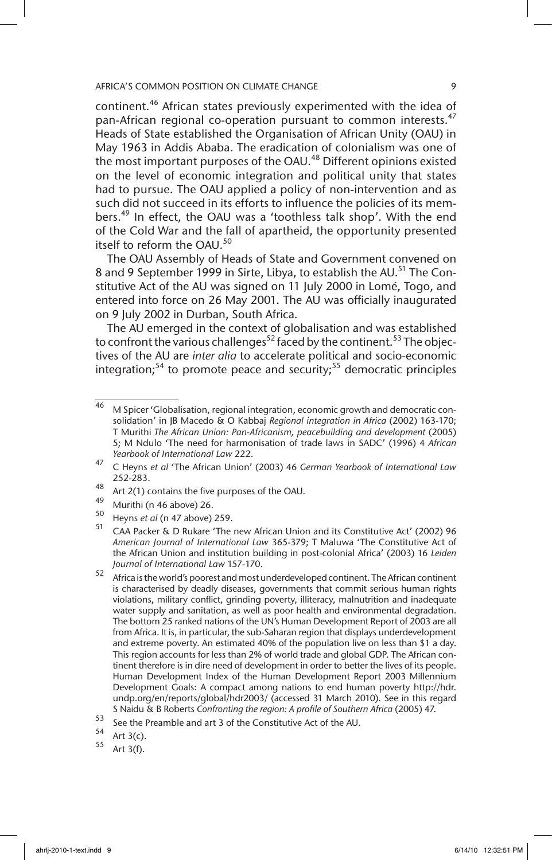continent.<sup>46</sup> African states previously experimented with the idea of pan-African regional co-operation pursuant to common interests.<sup>47</sup> Heads of State established the Organisation of African Unity (OAU) in May 1963 in Addis Ababa. The eradication of colonialism was one of the most important purposes of the OAU.<sup>48</sup> Different opinions existed on the level of economic integration and political unity that states had to pursue. The OAU applied a policy of non-intervention and as such did not succeed in its efforts to influence the policies of its members.<sup>49</sup> In effect, the OAU was a 'toothless talk shop'. With the end of the Cold War and the fall of apartheid, the opportunity presented itself to reform the OAU.<sup>50</sup>

The OAU Assembly of Heads of State and Government convened on 8 and 9 September 1999 in Sirte, Libya, to establish the AU.<sup>51</sup> The Constitutive Act of the AU was signed on 11 July 2000 in Lomé, Togo, and entered into force on 26 May 2001. The AU was officially inaugurated on 9 July 2002 in Durban, South Africa.

The AU emerged in the context of globalisation and was established to confront the various challenges<sup>52</sup> faced by the continent.<sup>53</sup> The objectives of the AU are *inter alia* to accelerate political and socio-economic integration;<sup>54</sup> to promote peace and security;<sup>55</sup> democratic principles

- $^{48}$  Art 2(1) contains the five purposes of the OAU.
- <sup>49</sup> Murithi (n 46 above) 26.<br>50 **March 21 (n 47 above)**
- <sup>50</sup> Heyns *et al* (n 47 above) 259.

 $\frac{46}{46}$  M Spicer 'Globalisation, regional integration, economic growth and democratic consolidation' in JB Macedo & O Kabbaj *Regional integration in Africa* (2002) 163-170; T Murithi *The African Union: Pan-Africanism, peacebuilding and development* (2005) 5; M Ndulo 'The need for harmonisation of trade laws in SADC' (1996) 4 *African Yearbook of International Law* 222.

<sup>47</sup> C Heyns *et al* 'The African Union' (2003) 46 *German Yearbook of International Law* 252-283.

<sup>51</sup> CAA Packer & D Rukare 'The new African Union and its Constitutive Act' (2002) 96 *American Journal of International Law* 365-379; T Maluwa 'The Constitutive Act of the African Union and institution building in post-colonial Africa' (2003) 16 *Leiden Journal of International Law* 157-170.

 $\frac{52}{1}$  Africa is the world's poorest and most underdeveloped continent. The African continent is characterised by deadly diseases, governments that commit serious human rights violations, military conflict, grinding poverty, illiteracy, malnutrition and inadequate water supply and sanitation, as well as poor health and environmental degradation. The bottom 25 ranked nations of the UN's Human Development Report of 2003 are all from Africa. It is, in particular, the sub-Saharan region that displays underdevelopment and extreme poverty. An estimated 40% of the population live on less than \$1 a day. This region accounts for less than 2% of world trade and global GDP. The African continent therefore is in dire need of development in order to better the lives of its people. Human Development Index of the Human Development Report 2003 Millennium Development Goals: A compact among nations to end human poverty http://hdr. undp.org/en/reports/global/hdr2003/ (accessed 31 March 2010). See in this regard S Naidu & B Roberts *Confronting the region: A profile of Southern Africa* (2005) 47.

 $53$  See the Preamble and art 3 of the Constitutive Act of the AU.

 $^{34}$  Art 3(c).

Art  $3(f)$ .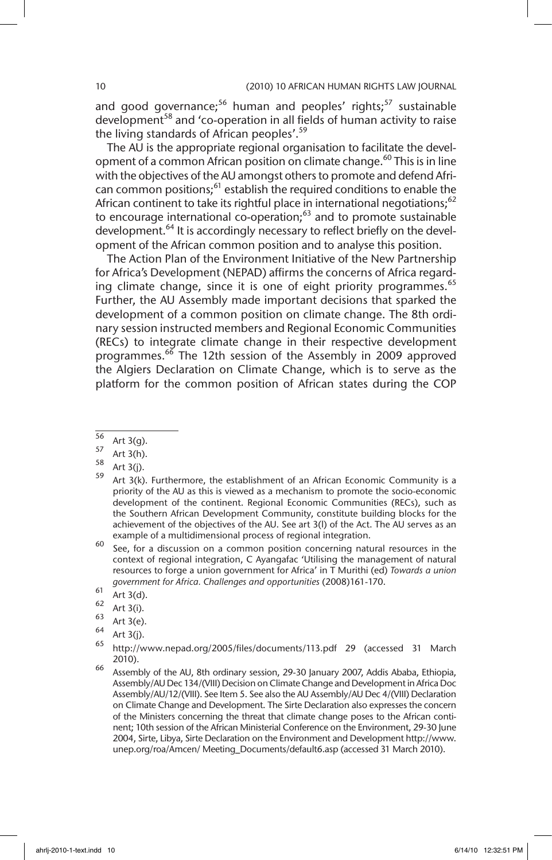and good governance;<sup>56</sup> human and peoples' rights;<sup>57</sup> sustainable development<sup>58</sup> and 'co-operation in all fields of human activity to raise the living standards of African peoples'.<sup>59</sup>

The AU is the appropriate regional organisation to facilitate the development of a common African position on climate change.<sup>60</sup> This is in line with the objectives of the AU amongst others to promote and defend African common positions;<sup>61</sup> establish the required conditions to enable the African continent to take its rightful place in international negotiations;  $62$ to encourage international co-operation;<sup>63</sup> and to promote sustainable development.<sup>64</sup> It is accordingly necessary to reflect briefly on the development of the African common position and to analyse this position.

The Action Plan of the Environment Initiative of the New Partnership for Africa's Development (NEPAD) affirms the concerns of Africa regarding climate change, since it is one of eight priority programmes.<sup>65</sup> Further, the AU Assembly made important decisions that sparked the development of a common position on climate change. The 8th ordinary session instructed members and Regional Economic Communities (RECs) to integrate climate change in their respective development programmes.<sup>66</sup> The 12th session of the Assembly in 2009 approved the Algiers Declaration on Climate Change, which is to serve as the platform for the common position of African states during the COP

 $^{63}$  Art 3(e).

 $\frac{56}{57}$  Art 3(g).

 $^{57}$  Art 3(h).

Art  $3(j)$ .

Art 3(k). Furthermore, the establishment of an African Economic Community is a priority of the AU as this is viewed as a mechanism to promote the socio-economic development of the continent. Regional Economic Communities (RECs), such as the Southern African Development Community, constitute building blocks for the achievement of the objectives of the AU. See art 3(l) of the Act. The AU serves as an example of a multidimensional process of regional integration.

 $60$  See, for a discussion on a common position concerning natural resources in the context of regional integration, C Ayangafac 'Utilising the management of natural resources to forge a union government for Africa' in T Murithi (ed) *Towards a union government for Africa. Challenges and opportunities* (2008)161-170.

 $\frac{61}{62}$  Art 3(d).

 $^{62}$  Art 3(i).

 $65$  Art 3(j).

<sup>65</sup> http://www.nepad.org/2005/files/documents/113.pdf 29 (accessed 31 March 2010).

<sup>66</sup> Assembly of the AU, 8th ordinary session, 29-30 January 2007, Addis Ababa, Ethiopia, Assembly/AU Dec 134/(VIII) Decision on Climate Change and Development in Africa Doc Assembly/AU/12/(VIII). See Item 5. See also the AU Assembly/AU Dec 4/(VIII) Declaration on Climate Change and Development. The Sirte Declaration also expresses the concern of the Ministers concerning the threat that climate change poses to the African continent; 10th session of the African Ministerial Conference on the Environment, 29-30 June 2004, Sirte, Libya, Sirte Declaration on the Environment and Development http://www. unep.org/roa/Amcen/ Meeting\_Documents/default6.asp (accessed 31 March 2010).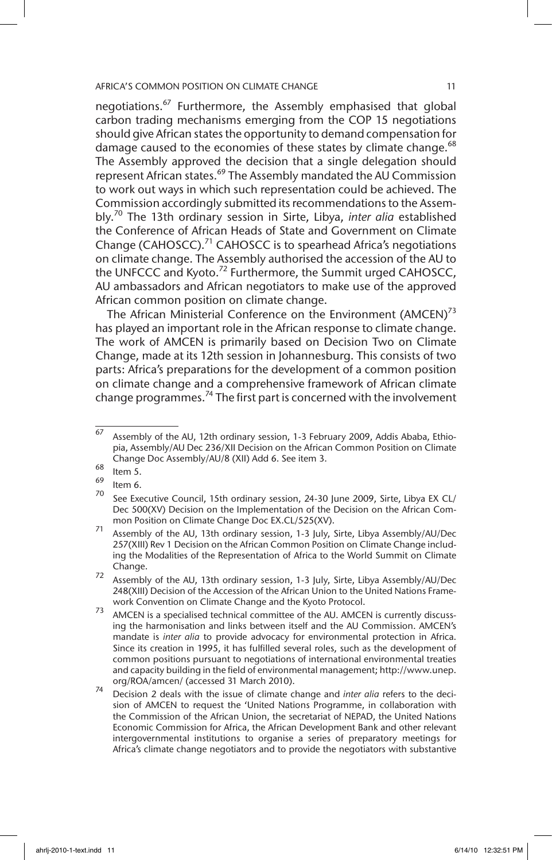negotiations.<sup>67</sup> Furthermore, the Assembly emphasised that global carbon trading mechanisms emerging from the COP 15 negotiations should give African states the opportunity to demand compensation for damage caused to the economies of these states by climate change.<sup>68</sup> The Assembly approved the decision that a single delegation should represent African states.<sup>69</sup> The Assembly mandated the AU Commission to work out ways in which such representation could be achieved. The Commission accordingly submitted its recommendations to the Assembly.70 The 13th ordinary session in Sirte, Libya, *inter alia* established the Conference of African Heads of State and Government on Climate Change (CAHOSCC).<sup>71</sup> CAHOSCC is to spearhead Africa's negotiations on climate change. The Assembly authorised the accession of the AU to the UNFCCC and Kyoto.<sup>72</sup> Furthermore, the Summit urged CAHOSCC, AU ambassadors and African negotiators to make use of the approved African common position on climate change.

The African Ministerial Conference on the Environment (AMCEN)<sup>73</sup> has played an important role in the African response to climate change. The work of AMCEN is primarily based on Decision Two on Climate Change, made at its 12th session in Johannesburg. This consists of two parts: Africa's preparations for the development of a common position on climate change and a comprehensive framework of African climate change programmes.<sup>74</sup> The first part is concerned with the involvement

 $\overline{67}$  Assembly of the AU, 12th ordinary session, 1-3 February 2009, Addis Ababa, Ethiopia, Assembly/AU Dec 236/XII Decision on the African Common Position on Climate Change Doc Assembly/AU/8 (XII) Add 6. See item 3.

 $^{68}_{69}$  Item 5.

Item 6.

 $70$  See Executive Council, 15th ordinary session, 24-30 June 2009, Sirte, Libya EX CL/ Dec 500(XV) Decision on the Implementation of the Decision on the African Common Position on Climate Change Doc EX.CL/525(XV).

<sup>71</sup> Assembly of the AU, 13th ordinary session, 1-3 July, Sirte, Libya Assembly/AU/Dec 257(XIII) Rev 1 Decision on the African Common Position on Climate Change including the Modalities of the Representation of Africa to the World Summit on Climate Change.

<sup>72</sup> Assembly of the AU, 13th ordinary session, 1-3 July, Sirte, Libya Assembly/AU/Dec 248(XIII) Decision of the Accession of the African Union to the United Nations Framework Convention on Climate Change and the Kyoto Protocol.

<sup>73</sup> AMCEN is a specialised technical committee of the AU. AMCEN is currently discussing the harmonisation and links between itself and the AU Commission. AMCEN's mandate is *inter alia* to provide advocacy for environmental protection in Africa. Since its creation in 1995, it has fulfilled several roles, such as the development of common positions pursuant to negotiations of international environmental treaties and capacity building in the field of environmental management; http://www.unep. org/ROA/amcen/ (accessed 31 March 2010).

<sup>74</sup> Decision 2 deals with the issue of climate change and *inter alia* refers to the decision of AMCEN to request the 'United Nations Programme, in collaboration with the Commission of the African Union, the secretariat of NEPAD, the United Nations Economic Commission for Africa, the African Development Bank and other relevant intergovernmental institutions to organise a series of preparatory meetings for Africa's climate change negotiators and to provide the negotiators with substantive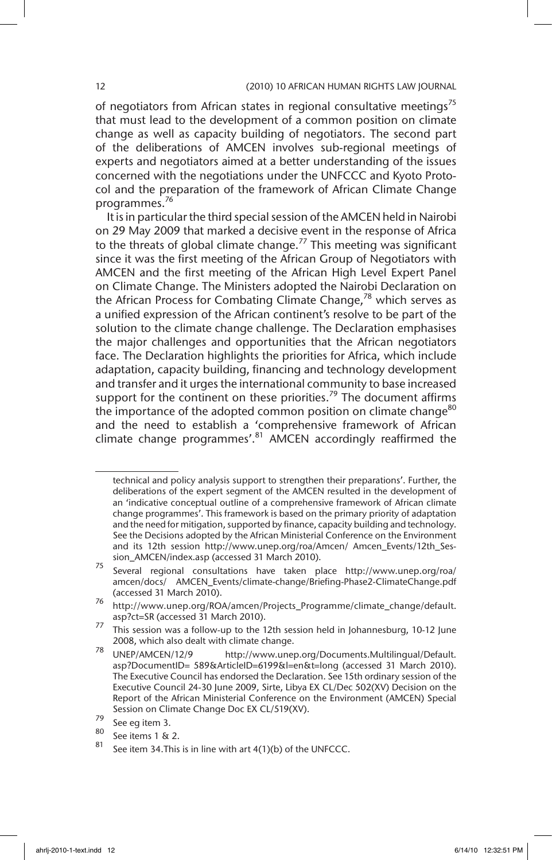of negotiators from African states in regional consultative meetings<sup>75</sup> that must lead to the development of a common position on climate change as well as capacity building of negotiators. The second part of the deliberations of AMCEN involves sub-regional meetings of experts and negotiators aimed at a better understanding of the issues concerned with the negotiations under the UNFCCC and Kyoto Protocol and the preparation of the framework of African Climate Change programmes.76

It is in particular the third special session of the AMCEN held in Nairobi on 29 May 2009 that marked a decisive event in the response of Africa to the threats of global climate change.<sup>77</sup> This meeting was significant since it was the first meeting of the African Group of Negotiators with AMCEN and the first meeting of the African High Level Expert Panel on Climate Change. The Ministers adopted the Nairobi Declaration on the African Process for Combating Climate Change, $^{78}$  which serves as a unified expression of the African continent's resolve to be part of the solution to the climate change challenge. The Declaration emphasises the major challenges and opportunities that the African negotiators face. The Declaration highlights the priorities for Africa, which include adaptation, capacity building, financing and technology development and transfer and it urges the international community to base increased support for the continent on these priorities.<sup>79</sup> The document affirms the importance of the adopted common position on climate change $80$ and the need to establish a 'comprehensive framework of African climate change programmes'.<sup>81</sup> AMCEN accordingly reaffirmed the

technical and policy analysis support to strengthen their preparations'. Further, the deliberations of the expert segment of the AMCEN resulted in the development of an 'indicative conceptual outline of a comprehensive framework of African climate change programmes'. This framework is based on the primary priority of adaptation and the need for mitigation, supported by finance, capacity building and technology. See the Decisions adopted by the African Ministerial Conference on the Environment and its 12th session http://www.unep.org/roa/Amcen/ Amcen\_Events/12th\_Session\_AMCEN/index.asp (accessed 31 March 2010).

<sup>75</sup> Several regional consultations have taken place http://www.unep.org/roa/ amcen/docs/ AMCEN\_Events/climate-change/Briefing-Phase2-ClimateChange.pdf (accessed 31 March 2010).

<sup>76</sup> http://www.unep.org/ROA/amcen/Projects\_Programme/climate\_change/default. asp?ct=SR (accessed 31 March 2010).

 $77$  This session was a follow-up to the 12th session held in Johannesburg, 10-12 June 2008, which also dealt with climate change.

<sup>78</sup> UNEP/AMCEN/12/9 http://www.unep.org/Documents.Multilingual/Default. asp?DocumentID= 589&ArticleID=6199&l=en&t=long (accessed 31 March 2010). The Executive Council has endorsed the Declaration. See 15th ordinary session of the Executive Council 24-30 June 2009, Sirte, Libya EX CL/Dec 502(XV) Decision on the Report of the African Ministerial Conference on the Environment (AMCEN) Special Session on Climate Change Doc EX CL/519(XV).

 $^{79}$  See eg item 3.

 $\frac{80}{81}$  See items 1 & 2.

See item 34.This is in line with art  $4(1)(b)$  of the UNFCCC.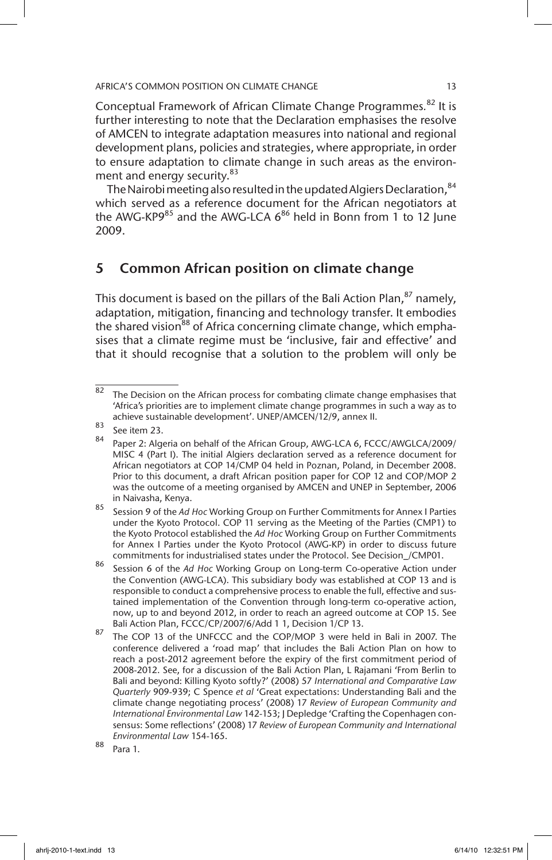Conceptual Framework of African Climate Change Programmes*.* <sup>82</sup> It is further interesting to note that the Declaration emphasises the resolve of AMCEN to integrate adaptation measures into national and regional development plans, policies and strategies, where appropriate, in order to ensure adaptation to climate change in such areas as the environment and energy security.<sup>83</sup>

The Nairobi meeting also resulted in the updated Algiers Declaration, <sup>84</sup> which served as a reference document for the African negotiators at the AWG-KP9<sup>85</sup> and the AWG-LCA  $6^{86}$  held in Bonn from 1 to 12 June 2009.

## 5 Common African position on climate change

This document is based on the pillars of the Bali Action Plan,<sup>87</sup> namely, adaptation, mitigation, financing and technology transfer. It embodies the shared vision<sup>88</sup> of Africa concerning climate change, which emphasises that a climate regime must be 'inclusive, fair and effective' and that it should recognise that a solution to the problem will only be

 $\overline{\begin{array}{c}82\\82\end{array}}$  The Decision on the African process for combating climate change emphasises that 'Africa's priorities are to implement climate change programmes in such a way as to achieve sustainable development'. UNEP/AMCEN/12/9, annex II.

<sup>83</sup> See item 23.

Paper 2: Algeria on behalf of the African Group, AWG-LCA 6, FCCC/AWGLCA/2009/ MISC 4 (Part I). The initial Algiers declaration served as a reference document for African negotiators at COP 14/CMP 04 held in Poznan, Poland, in December 2008. Prior to this document, a draft African position paper for COP 12 and COP/MOP 2 was the outcome of a meeting organised by AMCEN and UNEP in September, 2006 in Naivasha, Kenya.

<sup>85</sup> Session 9 of the *Ad Hoc* Working Group on Further Commitments for Annex I Parties under the Kyoto Protocol. COP 11 serving as the Meeting of the Parties (CMP1) to the Kyoto Protocol established the *Ad Hoc* Working Group on Further Commitments for Annex I Parties under the Kyoto Protocol (AWG-KP) in order to discuss future commitments for industrialised states under the Protocol. See Decision\_/CMP01.

<sup>86</sup> Session 6 of the *Ad Hoc* Working Group on Long-term Co-operative Action under the Convention (AWG-LCA). This subsidiary body was established at COP 13 and is responsible to conduct a comprehensive process to enable the full, effective and sustained implementation of the Convention through long-term co-operative action, now, up to and beyond 2012, in order to reach an agreed outcome at COP 15. See Bali Action Plan, FCCC/CP/2007/6/Add 1 1, Decision 1/CP 13.

<sup>87</sup> The COP 13 of the UNFCCC and the COP/MOP 3 were held in Bali in 2007. The conference delivered a 'road map' that includes the Bali Action Plan on how to reach a post-2012 agreement before the expiry of the first commitment period of 2008-2012. See, for a discussion of the Bali Action Plan, L Rajamani 'From Berlin to Bali and beyond: Killing Kyoto softly?' (2008) 57 *International and Comparative Law Quarterly* 909-939; C Spence *et al* 'Great expectations: Understanding Bali and the climate change negotiating process' (2008) 17 *Review of European Community and International Environmental Law* 142-153; J Depledge 'Crafting the Copenhagen consensus: Some reflections' (2008) 17 *Review of European Community and International Environmental Law* 154-165.

<sup>88</sup> Para 1.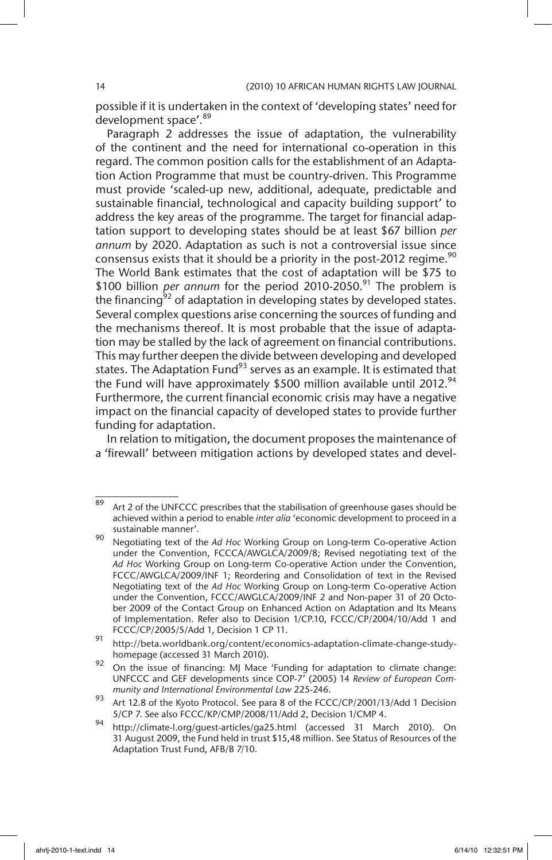possible if it is undertaken in the context of 'developing states' need for development space'.<sup>89</sup>

Paragraph 2 addresses the issue of adaptation, the vulnerability of the continent and the need for international co-operation in this regard. The common position calls for the establishment of an Adaptation Action Programme that must be country-driven. This Programme must provide 'scaled-up new, additional, adequate, predictable and sustainable financial, technological and capacity building support' to address the key areas of the programme. The target for financial adaptation support to developing states should be at least \$67 billion *per annum* by 2020. Adaptation as such is not a controversial issue since consensus exists that it should be a priority in the post-2012 regime.<sup>90</sup> The World Bank estimates that the cost of adaptation will be \$75 to \$100 billion *per annum* for the period 2010-2050.<sup>91</sup> The problem is the financing<sup>92</sup> of adaptation in developing states by developed states. Several complex questions arise concerning the sources of funding and the mechanisms thereof. It is most probable that the issue of adaptation may be stalled by the lack of agreement on financial contributions. This may further deepen the divide between developing and developed states. The Adaptation Fund<sup>93</sup> serves as an example. It is estimated that the Fund will have approximately \$500 million available until 2012.<sup>94</sup> Furthermore, the current financial economic crisis may have a negative impact on the financial capacity of developed states to provide further funding for adaptation.

In relation to mitigation, the document proposes the maintenance of a 'firewall' between mitigation actions by developed states and devel-

 $\frac{89}{89}$  Art 2 of the UNFCCC prescribes that the stabilisation of greenhouse gases should be achieved within a period to enable *inter alia* 'economic development to proceed in a sustainable manner'.

<sup>90</sup> Negotiating text of the *Ad Hoc* Working Group on Long-term Co-operative Action under the Convention, FCCCA/AWGLCA/2009/8; Revised negotiating text of the *Ad Hoc* Working Group on Long-term Co-operative Action under the Convention, FCCC/AWGLCA/2009/INF 1; Reordering and Consolidation of text in the Revised Negotiating text of the *Ad Hoc* Working Group on Long-term Co-operative Action under the Convention, FCCC/AWGLCA/2009/INF 2 and Non-paper 31 of 20 October 2009 of the Contact Group on Enhanced Action on Adaptation and Its Means of Implementation. Refer also to Decision 1/CP.10, FCCC/CP/2004/10/Add 1 and FCCC/CP/2005/5/Add 1, Decision 1 CP 11.

<sup>91</sup> http://beta.worldbank.org/content/economics-adaptation-climate-change-studyhomepage (accessed 31 March 2010).

<sup>92</sup> On the issue of financing: MJ Mace 'Funding for adaptation to climate change: UNFCCC and GEF developments since COP-7' (2005) 14 *Review of European Community and International Environmental Law* 225-246.

<sup>93</sup> Art 12.8 of the Kyoto Protocol. See para 8 of the FCCC/CP/2001/13/Add 1 Decision 5/CP 7. See also FCCC/KP/CMP/2008/11/Add 2, Decision 1/CMP 4.

<sup>94</sup> http://climate-l.org/guest-articles/ga25.html (accessed 31 March 2010). On 31 August 2009, the Fund held in trust \$15,48 million. See Status of Resources of the Adaptation Trust Fund, AFB/B 7/10.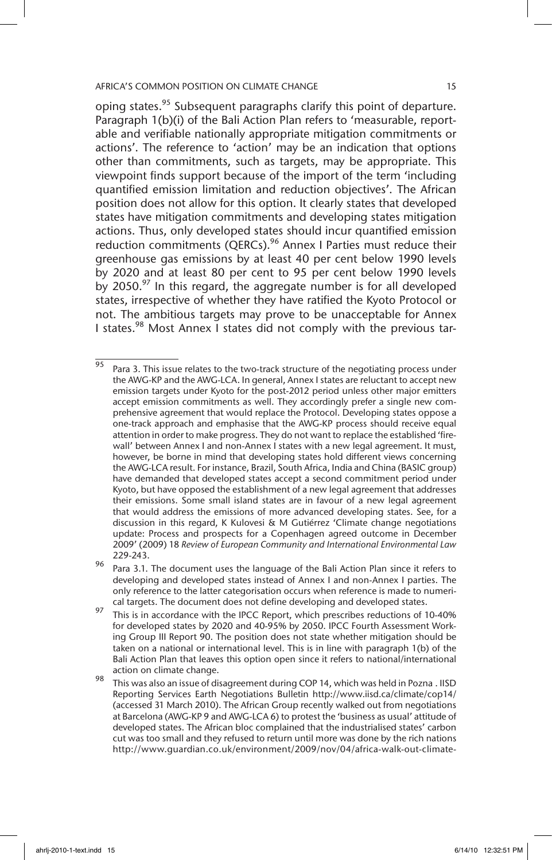oping states.<sup>95</sup> Subsequent paragraphs clarify this point of departure. Paragraph 1(b)(i) of the Bali Action Plan refers to 'measurable, reportable and verifiable nationally appropriate mitigation commitments or actions'. The reference to 'action' may be an indication that options other than commitments, such as targets, may be appropriate. This viewpoint finds support because of the import of the term 'including quantified emission limitation and reduction objectives'. The African position does not allow for this option. It clearly states that developed states have mitigation commitments and developing states mitigation actions. Thus, only developed states should incur quantified emission reduction commitments (QERCs).<sup>96</sup> Annex I Parties must reduce their greenhouse gas emissions by at least 40 per cent below 1990 levels by 2020 and at least 80 per cent to 95 per cent below 1990 levels by 2050.<sup>97</sup> In this regard, the aggregate number is for all developed states, irrespective of whether they have ratified the Kyoto Protocol or not. The ambitious targets may prove to be unacceptable for Annex I states.<sup>98</sup> Most Annex I states did not comply with the previous tar-

 $\frac{95}{95}$  Para 3. This issue relates to the two-track structure of the negotiating process under the AWG-KP and the AWG-LCA. In general, Annex I states are reluctant to accept new emission targets under Kyoto for the post-2012 period unless other major emitters accept emission commitments as well. They accordingly prefer a single new comprehensive agreement that would replace the Protocol. Developing states oppose a one-track approach and emphasise that the AWG-KP process should receive equal attention in order to make progress. They do not want to replace the established 'firewall' between Annex I and non-Annex I states with a new legal agreement. It must, however, be borne in mind that developing states hold different views concerning the AWG-LCA result. For instance, Brazil, South Africa, India and China (BASIC group) have demanded that developed states accept a second commitment period under Kyoto, but have opposed the establishment of a new legal agreement that addresses their emissions. Some small island states are in favour of a new legal agreement that would address the emissions of more advanced developing states. See, for a discussion in this regard, K Kulovesi & M Gutiérrez 'Climate change negotiations update: Process and prospects for a Copenhagen agreed outcome in December 2009' (2009) 18 *Review of European Community and International Environmental Law* 229-243.

<sup>96</sup> Para 3.1. The document uses the language of the Bali Action Plan since it refers to developing and developed states instead of Annex I and non-Annex I parties. The only reference to the latter categorisation occurs when reference is made to numerical targets. The document does not define developing and developed states.

<sup>97</sup> This is in accordance with the IPCC Report, which prescribes reductions of 10-40% for developed states by 2020 and 40-95% by 2050. IPCC Fourth Assessment Working Group III Report 90. The position does not state whether mitigation should be taken on a national or international level. This is in line with paragraph 1(b) of the Bali Action Plan that leaves this option open since it refers to national/international action on climate change.

 $98$  This was also an issue of disagreement during COP 14, which was held in Pozna . IISD Reporting Services Earth Negotiations Bulletin http://www.iisd.ca/climate/cop14/ (accessed 31 March 2010). The African Group recently walked out from negotiations at Barcelona (AWG-KP 9 and AWG-LCA 6) to protest the 'business as usual' attitude of developed states. The African bloc complained that the industrialised states' carbon cut was too small and they refused to return until more was done by the rich nations http://www.guardian.co.uk/environment/2009/nov/04/africa-walk-out-climate-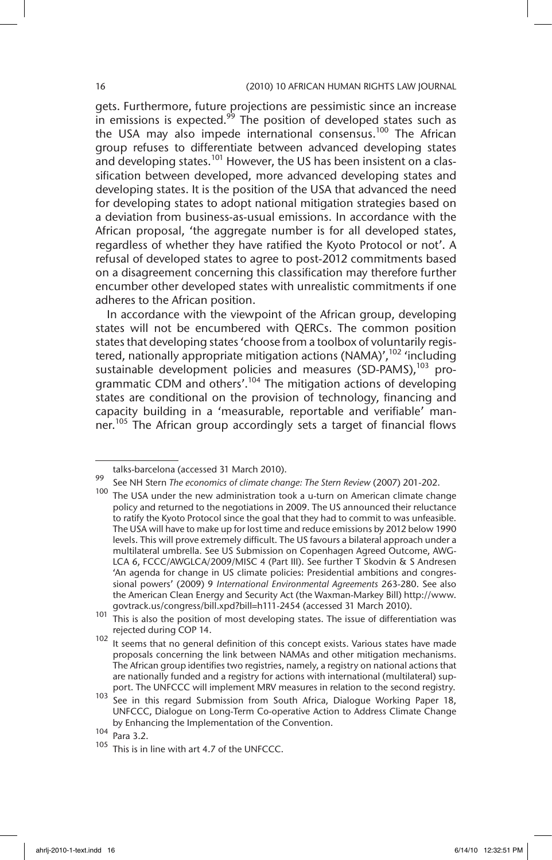#### 16 (2010) 10 AFRICAN HUMAN RIGHTS LAW JOURNAL

gets. Furthermore, future projections are pessimistic since an increase in emissions is expected.<sup>99</sup> The position of developed states such as the USA may also impede international consensus.<sup>100</sup> The African group refuses to differentiate between advanced developing states and developing states.<sup>101</sup> However, the US has been insistent on a classification between developed, more advanced developing states and developing states. It is the position of the USA that advanced the need for developing states to adopt national mitigation strategies based on a deviation from business-as-usual emissions. In accordance with the African proposal, 'the aggregate number is for all developed states, regardless of whether they have ratified the Kyoto Protocol or not'. A refusal of developed states to agree to post-2012 commitments based on a disagreement concerning this classification may therefore further encumber other developed states with unrealistic commitments if one adheres to the African position.

In accordance with the viewpoint of the African group, developing states will not be encumbered with QERCs. The common position states that developing states 'choose from a toolbox of voluntarily registered, nationally appropriate mitigation actions (NAMA)', <sup>102</sup> 'including sustainable development policies and measures (SD-PAMS),<sup>103</sup> programmatic CDM and others'.<sup>104</sup> The mitigation actions of developing states are conditional on the provision of technology, financing and capacity building in a 'measurable, reportable and verifiable' manner.<sup>105</sup> The African group accordingly sets a target of financial flows

talks-barcelona (accessed 31 March 2010).

<sup>99</sup> See NH Stern *The economics of climate change: The Stern Review* (2007) 201-202.

 $100$  The USA under the new administration took a u-turn on American climate change policy and returned to the negotiations in 2009. The US announced their reluctance to ratify the Kyoto Protocol since the goal that they had to commit to was unfeasible. The USA will have to make up for lost time and reduce emissions by 2012 below 1990 levels. This will prove extremely difficult. The US favours a bilateral approach under a multilateral umbrella. See US Submission on Copenhagen Agreed Outcome, AWG-LCA 6, FCCC/AWGLCA/2009/MISC 4 (Part III). See further T Skodvin & S Andresen 'An agenda for change in US climate policies: Presidential ambitions and congressional powers' (2009) 9 *International Environmental Agreements* 263-280. See also the American Clean Energy and Security Act (the Waxman-Markey Bill) http://www. govtrack.us/congress/bill.xpd?bill=h111-2454 (accessed 31 March 2010).

<sup>101</sup> This is also the position of most developing states. The issue of differentiation was rejected during COP 14.

<sup>102</sup> It seems that no general definition of this concept exists. Various states have made proposals concerning the link between NAMAs and other mitigation mechanisms. The African group identifies two registries, namely, a registry on national actions that are nationally funded and a registry for actions with international (multilateral) support. The UNFCCC will implement MRV measures in relation to the second registry.

 $103$  See in this regard Submission from South Africa, Dialogue Working Paper 18, UNFCCC, Dialogue on Long-Term Co-operative Action to Address Climate Change by Enhancing the Implementation of the Convention.

 $\frac{104}{105}$  Para 3.2.

This is in line with art 4.7 of the UNFCCC.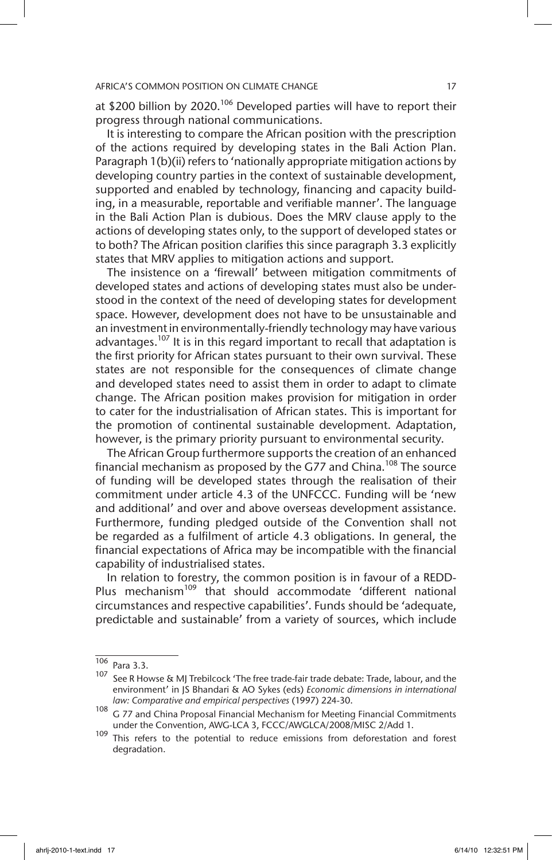at \$200 billion by 2020.<sup>106</sup> Developed parties will have to report their progress through national communications.

It is interesting to compare the African position with the prescription of the actions required by developing states in the Bali Action Plan. Paragraph 1(b)(ii) refers to 'nationally appropriate mitigation actions by developing country parties in the context of sustainable development, supported and enabled by technology, financing and capacity building, in a measurable, reportable and verifiable manner'. The language in the Bali Action Plan is dubious. Does the MRV clause apply to the actions of developing states only, to the support of developed states or to both? The African position clarifies this since paragraph 3.3 explicitly states that MRV applies to mitigation actions and support.

The insistence on a 'firewall' between mitigation commitments of developed states and actions of developing states must also be understood in the context of the need of developing states for development space. However, development does not have to be unsustainable and an investment in environmentally-friendly technology may have various advantages.<sup>107</sup> It is in this regard important to recall that adaptation is the first priority for African states pursuant to their own survival. These states are not responsible for the consequences of climate change and developed states need to assist them in order to adapt to climate change. The African position makes provision for mitigation in order to cater for the industrialisation of African states. This is important for the promotion of continental sustainable development. Adaptation, however, is the primary priority pursuant to environmental security.

The African Group furthermore supports the creation of an enhanced financial mechanism as proposed by the G77 and China.<sup>108</sup> The source of funding will be developed states through the realisation of their commitment under article 4.3 of the UNFCCC. Funding will be 'new and additional' and over and above overseas development assistance. Furthermore, funding pledged outside of the Convention shall not be regarded as a fulfilment of article 4.3 obligations. In general, the financial expectations of Africa may be incompatible with the financial capability of industrialised states.

In relation to forestry, the common position is in favour of a REDD-Plus mechanism<sup>109</sup> that should accommodate 'different national circumstances and respective capabilities'. Funds should be 'adequate, predictable and sustainable' from a variety of sources, which include

 $\frac{106}{107}$  Para 3.3.

See R Howse & MJ Trebilcock 'The free trade-fair trade debate: Trade, labour, and the environment' in JS Bhandari & AO Sykes (eds) *Economic dimensions in international law: Comparative and empirical perspectives* (1997) 224-30.

<sup>108</sup> G 77 and China Proposal Financial Mechanism for Meeting Financial Commitments under the Convention, AWG-LCA 3, FCCC/AWGLCA/2008/MISC 2/Add 1.

<sup>109</sup> This refers to the potential to reduce emissions from deforestation and forest degradation.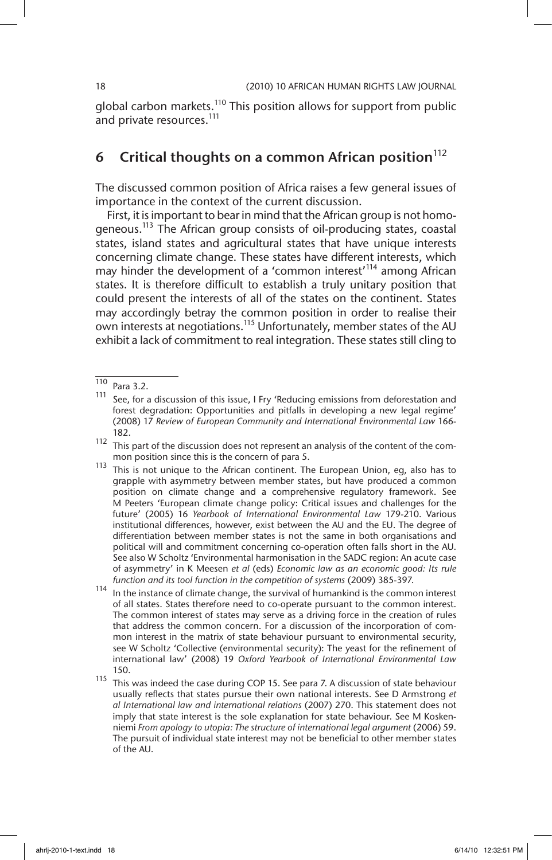global carbon markets.<sup>110</sup> This position allows for support from public and private resources.<sup>111</sup>

## 6 Critical thoughts on a common African position  $112$

The discussed common position of Africa raises a few general issues of importance in the context of the current discussion.

First, it is important to bear in mind that the African group is not homogeneous.<sup>113</sup> The African group consists of oil-producing states, coastal states, island states and agricultural states that have unique interests concerning climate change. These states have different interests, which may hinder the development of a 'common interest'<sup>114</sup> among African states. It is therefore difficult to establish a truly unitary position that could present the interests of all of the states on the continent. States may accordingly betray the common position in order to realise their own interests at negotiations.<sup>115</sup> Unfortunately, member states of the AU exhibit a lack of commitment to real integration. These states still cling to

<sup>110</sup> Para 3.2.

See, for a discussion of this issue, I Fry 'Reducing emissions from deforestation and forest degradation: Opportunities and pitfalls in developing a new legal regime' (2008) 17 *Review of European Community and International Environmental Law* 166- 182.

 $112$  This part of the discussion does not represent an analysis of the content of the common position since this is the concern of para 5.

<sup>&</sup>lt;sup>113</sup> This is not unique to the African continent. The European Union, eg, also has to grapple with asymmetry between member states, but have produced a common position on climate change and a comprehensive regulatory framework. See M Peeters 'European climate change policy: Critical issues and challenges for the future' (2005) 16 *Yearbook of International Environmental Law* 179-210. Various institutional differences, however, exist between the AU and the EU. The degree of differentiation between member states is not the same in both organisations and political will and commitment concerning co-operation often falls short in the AU. See also W Scholtz 'Environmental harmonisation in the SADC region: An acute case of asymmetry' in K Meesen *et al* (eds) *Economic law as an economic good: Its rule function and its tool function in the competition of systems* (2009) 385-397.

<sup>114</sup> In the instance of climate change, the survival of humankind is the common interest of all states. States therefore need to co-operate pursuant to the common interest. The common interest of states may serve as a driving force in the creation of rules that address the common concern. For a discussion of the incorporation of common interest in the matrix of state behaviour pursuant to environmental security, see W Scholtz 'Collective (environmental security): The yeast for the refinement of international law' (2008) 19 *Oxford Yearbook of International Environmental Law*  150.

<sup>115</sup> This was indeed the case during COP 15. See para 7. A discussion of state behaviour usually reflects that states pursue their own national interests. See D Armstrong *et al International law and international relations* (2007) 270. This statement does not imply that state interest is the sole explanation for state behaviour. See M Koskenniemi *From apology to utopia: The structure of international legal argument* (2006) 59. The pursuit of individual state interest may not be beneficial to other member states of the AU.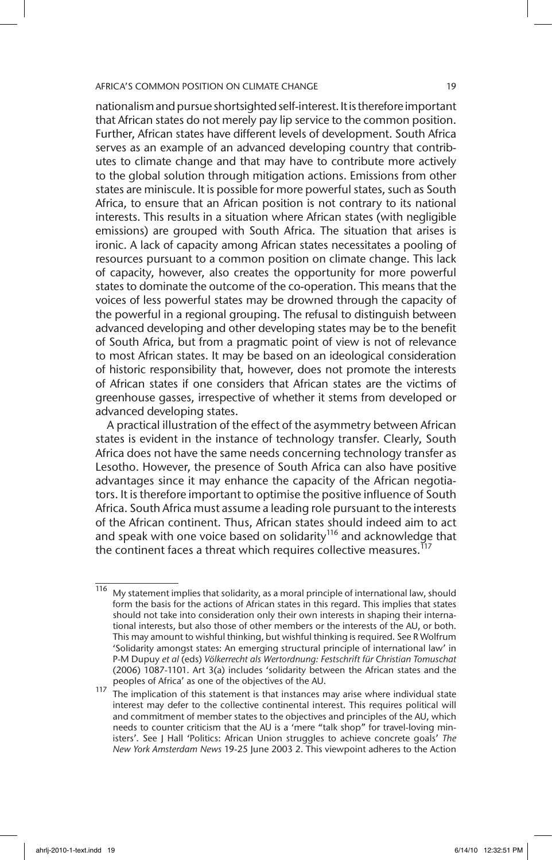nationalism and pursue shortsighted self-interest. It is therefore important that African states do not merely pay lip service to the common position. Further, African states have different levels of development. South Africa serves as an example of an advanced developing country that contributes to climate change and that may have to contribute more actively to the global solution through mitigation actions. Emissions from other states are miniscule. It is possible for more powerful states, such as South Africa, to ensure that an African position is not contrary to its national interests. This results in a situation where African states (with negligible emissions) are grouped with South Africa. The situation that arises is ironic. A lack of capacity among African states necessitates a pooling of resources pursuant to a common position on climate change. This lack of capacity, however, also creates the opportunity for more powerful states to dominate the outcome of the co-operation. This means that the voices of less powerful states may be drowned through the capacity of the powerful in a regional grouping. The refusal to distinguish between advanced developing and other developing states may be to the benefit of South Africa, but from a pragmatic point of view is not of relevance to most African states. It may be based on an ideological consideration of historic responsibility that, however, does not promote the interests of African states if one considers that African states are the victims of greenhouse gasses, irrespective of whether it stems from developed or advanced developing states.

A practical illustration of the effect of the asymmetry between African states is evident in the instance of technology transfer. Clearly, South Africa does not have the same needs concerning technology transfer as Lesotho. However, the presence of South Africa can also have positive advantages since it may enhance the capacity of the African negotiators. It is therefore important to optimise the positive influence of South Africa. South Africa must assume a leading role pursuant to the interests of the African continent. Thus, African states should indeed aim to act and speak with one voice based on solidarity<sup>116</sup> and acknowledge that the continent faces a threat which requires collective measures.<sup>117</sup>

 $\frac{116}{116}$  My statement implies that solidarity, as a moral principle of international law, should form the basis for the actions of African states in this regard. This implies that states should not take into consideration only their own interests in shaping their international interests, but also those of other members or the interests of the AU, or both. This may amount to wishful thinking, but wishful thinking is required. See R Wolfrum 'Solidarity amongst states: An emerging structural principle of international law' in P-M Dupuy *et al* (eds) *Völkerrecht als Wertordnung: Festschrift für Christian Tomuschat*  (2006) 1087-1101. Art 3(a) includes 'solidarity between the African states and the peoples of Africa' as one of the objectives of the AU.

<sup>117</sup> The implication of this statement is that instances may arise where individual state interest may defer to the collective continental interest. This requires political will and commitment of member states to the objectives and principles of the AU, which needs to counter criticism that the AU is a 'mere "talk shop" for travel-loving ministers'. See J Hall 'Politics: African Union struggles to achieve concrete goals' *The New York Amsterdam News* 19-25 June 2003 2. This viewpoint adheres to the Action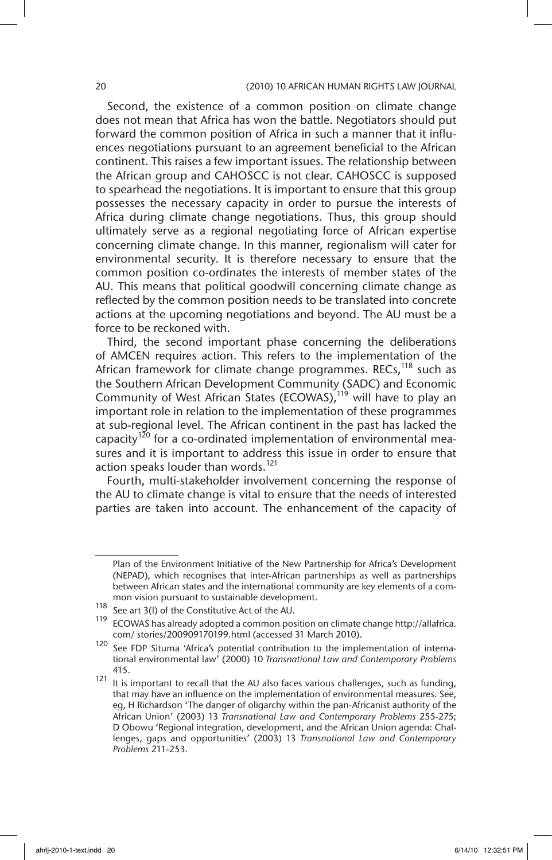#### 20 (2010) 10 AFRICAN HUMAN RIGHTS LAW JOURNAL

Second, the existence of a common position on climate change does not mean that Africa has won the battle. Negotiators should put forward the common position of Africa in such a manner that it influences negotiations pursuant to an agreement beneficial to the African continent. This raises a few important issues. The relationship between the African group and CAHOSCC is not clear. CAHOSCC is supposed to spearhead the negotiations. It is important to ensure that this group possesses the necessary capacity in order to pursue the interests of Africa during climate change negotiations. Thus, this group should ultimately serve as a regional negotiating force of African expertise concerning climate change. In this manner, regionalism will cater for environmental security. It is therefore necessary to ensure that the common position co-ordinates the interests of member states of the AU. This means that political goodwill concerning climate change as reflected by the common position needs to be translated into concrete actions at the upcoming negotiations and beyond. The AU must be a force to be reckoned with.

Third, the second important phase concerning the deliberations of AMCEN requires action. This refers to the implementation of the African framework for climate change programmes. RECs,<sup>118</sup> such as the Southern African Development Community (SADC) and Economic Community of West African States (ECOWAS), $119$  will have to play an important role in relation to the implementation of these programmes at sub-regional level. The African continent in the past has lacked the capacity<sup>120</sup> for a co-ordinated implementation of environmental measures and it is important to address this issue in order to ensure that action speaks louder than words.<sup>121</sup>

Fourth, multi-stakeholder involvement concerning the response of the AU to climate change is vital to ensure that the needs of interested parties are taken into account. The enhancement of the capacity of

Plan of the Environment Initiative of the New Partnership for Africa's Development (NEPAD), which recognises that inter-African partnerships as well as partnerships between African states and the international community are key elements of a common vision pursuant to sustainable development.

<sup>118</sup> See art 3(l) of the Constitutive Act of the AU.

<sup>119</sup> ECOWAS has already adopted a common position on climate change http://allafrica. com/ stories/200909170199.html (accessed 31 March 2010).

 $120$  See FDP Situma 'Africa's potential contribution to the implementation of international environmental law' (2000) 10 *Transnational Law and Contemporary Problems*  415.

<sup>121</sup> It is important to recall that the AU also faces various challenges, such as funding, that may have an influence on the implementation of environmental measures. See, eg, H Richardson 'The danger of oligarchy within the pan-Africanist authority of the African Union' (2003) 13 *Transnational Law and Contemporary Problems* 255-275; D Obowu 'Regional integration, development, and the African Union agenda: Challenges, gaps and opportunities' (2003) 13 *Transnational Law and Contemporary Problems* 211-253.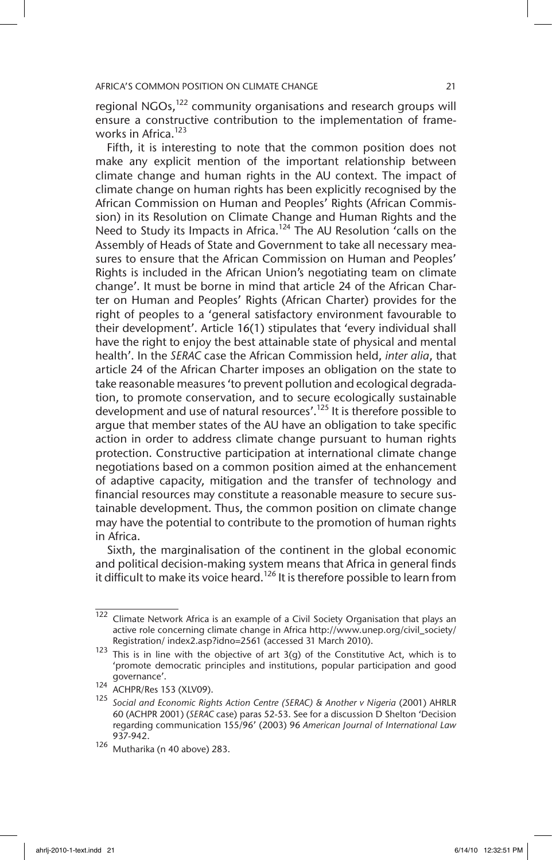regional NGOs, $122$  community organisations and research groups will ensure a constructive contribution to the implementation of frameworks in Africa. $123$ 

Fifth, it is interesting to note that the common position does not make any explicit mention of the important relationship between climate change and human rights in the AU context. The impact of climate change on human rights has been explicitly recognised by the African Commission on Human and Peoples' Rights (African Commission) in its Resolution on Climate Change and Human Rights and the Need to Study its Impacts in Africa.<sup>124</sup> The AU Resolution 'calls on the Assembly of Heads of State and Government to take all necessary measures to ensure that the African Commission on Human and Peoples' Rights is included in the African Union's negotiating team on climate change'. It must be borne in mind that article 24 of the African Charter on Human and Peoples' Rights (African Charter) provides for the right of peoples to a 'general satisfactory environment favourable to their development'. Article 16(1) stipulates that 'every individual shall have the right to enjoy the best attainable state of physical and mental health'. In the *SERAC* case the African Commission held, *inter alia*, that article 24 of the African Charter imposes an obligation on the state to take reasonable measures 'to prevent pollution and ecological degradation, to promote conservation, and to secure ecologically sustainable development and use of natural resources'.<sup>125</sup> It is therefore possible to argue that member states of the AU have an obligation to take specific action in order to address climate change pursuant to human rights protection. Constructive participation at international climate change negotiations based on a common position aimed at the enhancement of adaptive capacity, mitigation and the transfer of technology and financial resources may constitute a reasonable measure to secure sustainable development. Thus, the common position on climate change may have the potential to contribute to the promotion of human rights in Africa.

Sixth, the marginalisation of the continent in the global economic and political decision-making system means that Africa in general finds it difficult to make its voice heard.<sup>126</sup> It is therefore possible to learn from

<sup>122</sup> Climate Network Africa is an example of a Civil Society Organisation that plays an active role concerning climate change in Africa http://www.unep.org/civil\_society/ Registration/ index2.asp?idno=2561 (accessed 31 March 2010).

<sup>123</sup> This is in line with the objective of art 3(g) of the Constitutive Act, which is to 'promote democratic principles and institutions, popular participation and good governance'.

<sup>124</sup> ACHPR/Res 153 (XLV09).

<sup>125</sup> *Social and Economic Rights Action Centre (SERAC) & Another v Nigeria* (2001) AHRLR 60 (ACHPR 2001) (*SERAC* case) paras 52-53. See for a discussion D Shelton 'Decision regarding communication 155/96' (2003) 96 *American Journal of International Law*  937-942.

<sup>126</sup> Mutharika (n 40 above) 283.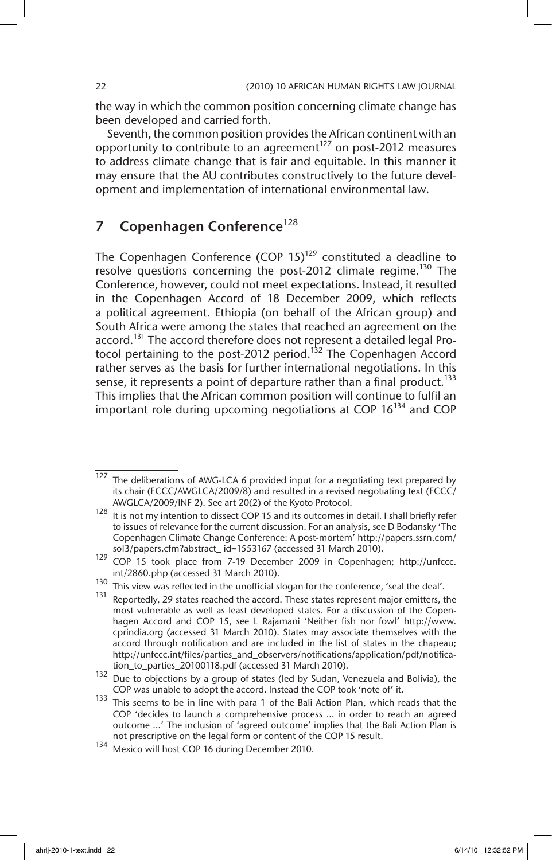the way in which the common position concerning climate change has been developed and carried forth.

Seventh, the common position provides the African continent with an opportunity to contribute to an agreement $^{127}$  on post-2012 measures to address climate change that is fair and equitable. In this manner it may ensure that the AU contributes constructively to the future development and implementation of international environmental law.

## 7 Copenhagen Conference $128$

The Copenhagen Conference (COP 15)<sup>129</sup> constituted a deadline to resolve questions concerning the post-2012 climate regime.<sup>130</sup> The Conference, however, could not meet expectations. Instead, it resulted in the Copenhagen Accord of 18 December 2009, which reflects a political agreement. Ethiopia (on behalf of the African group) and South Africa were among the states that reached an agreement on the accord.<sup>131</sup> The accord therefore does not represent a detailed legal Protocol pertaining to the post-2012 period.<sup>132</sup> The Copenhagen Accord rather serves as the basis for further international negotiations. In this sense, it represents a point of departure rather than a final product.<sup>133</sup> This implies that the African common position will continue to fulfil an important role during upcoming negotiations at COP  $16^{134}$  and COP

 $\frac{127}{127}$  The deliberations of AWG-LCA 6 provided input for a negotiating text prepared by its chair (FCCC/AWGLCA/2009/8) and resulted in a revised negotiating text (FCCC/ AWGLCA/2009/INF 2). See art 20(2) of the Kyoto Protocol.

 $128$  It is not my intention to dissect COP 15 and its outcomes in detail. I shall briefly refer to issues of relevance for the current discussion. For an analysis, see D Bodansky 'The Copenhagen Climate Change Conference: A post-mortem' http://papers.ssrn.com/ sol3/papers.cfm?abstract\_ id=1553167 (accessed 31 March 2010).

<sup>129</sup> COP 15 took place from 7-19 December 2009 in Copenhagen; http://unfccc. int/2860.php (accessed 31 March 2010).

<sup>130</sup> This view was reflected in the unofficial slogan for the conference, 'seal the deal'.

Reportedly, 29 states reached the accord. These states represent major emitters, the most vulnerable as well as least developed states. For a discussion of the Copenhagen Accord and COP 15, see L Rajamani 'Neither fish nor fowl' http://www. cprindia.org (accessed 31 March 2010). States may associate themselves with the accord through notification and are included in the list of states in the chapeau; http://unfccc.int/files/parties\_and\_observers/notifications/application/pdf/notification to parties 20100118.pdf (accessed 31 March 2010).

<sup>132</sup> Due to objections by a group of states (led by Sudan, Venezuela and Bolivia), the COP was unable to adopt the accord. Instead the COP took 'note of' it.

<sup>&</sup>lt;sup>133</sup> This seems to be in line with para 1 of the Bali Action Plan, which reads that the COP 'decides to launch a comprehensive process … in order to reach an agreed outcome …' The inclusion of 'agreed outcome' implies that the Bali Action Plan is not prescriptive on the legal form or content of the COP 15 result.

<sup>134</sup> Mexico will host COP 16 during December 2010.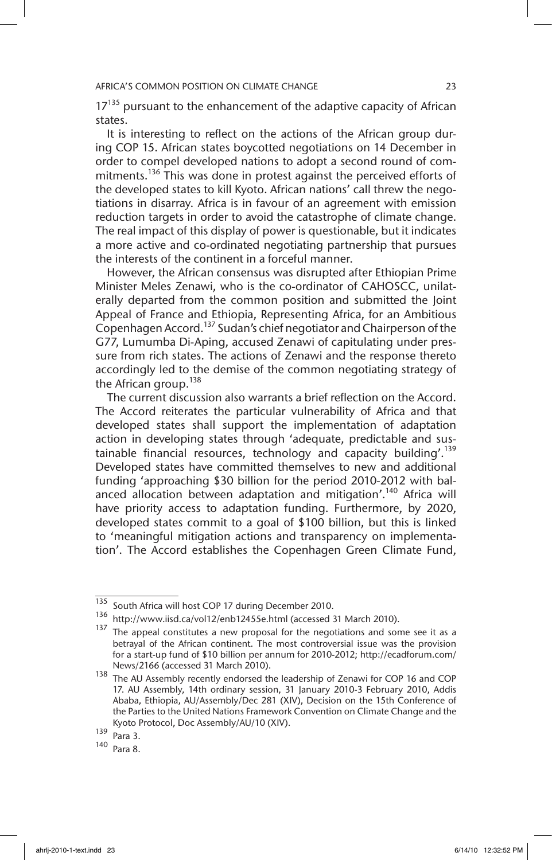$17<sup>135</sup>$  pursuant to the enhancement of the adaptive capacity of African states.

It is interesting to reflect on the actions of the African group during COP 15. African states boycotted negotiations on 14 December in order to compel developed nations to adopt a second round of commitments.<sup>136</sup> This was done in protest against the perceived efforts of the developed states to kill Kyoto. African nations' call threw the negotiations in disarray. Africa is in favour of an agreement with emission reduction targets in order to avoid the catastrophe of climate change. The real impact of this display of power is questionable, but it indicates a more active and co-ordinated negotiating partnership that pursues the interests of the continent in a forceful manner.

However, the African consensus was disrupted after Ethiopian Prime Minister Meles Zenawi, who is the co-ordinator of CAHOSCC, unilaterally departed from the common position and submitted the Joint Appeal of France and Ethiopia, Representing Africa, for an Ambitious Copenhagen Accord.<sup>137</sup> Sudan's chief negotiator and Chairperson of the G77, Lumumba Di-Aping, accused Zenawi of capitulating under pressure from rich states. The actions of Zenawi and the response thereto accordingly led to the demise of the common negotiating strategy of the African group.<sup>138</sup>

The current discussion also warrants a brief reflection on the Accord. The Accord reiterates the particular vulnerability of Africa and that developed states shall support the implementation of adaptation action in developing states through 'adequate, predictable and sustainable financial resources, technology and capacity building'.<sup>139</sup> Developed states have committed themselves to new and additional funding 'approaching \$30 billion for the period 2010-2012 with balanced allocation between adaptation and mitigation'.<sup>140</sup> Africa will have priority access to adaptation funding. Furthermore, by 2020, developed states commit to a goal of \$100 billion, but this is linked to 'meaningful mitigation actions and transparency on implementation'. The Accord establishes the Copenhagen Green Climate Fund,

<sup>135</sup> South Africa will host COP 17 during December 2010.

<sup>136</sup> http://www.iisd.ca/vol12/enb12455e.html (accessed 31 March 2010).

 $137$  The appeal constitutes a new proposal for the negotiations and some see it as a betrayal of the African continent. The most controversial issue was the provision for a start-up fund of \$10 billion per annum for 2010-2012; http://ecadforum.com/ News/2166 (accessed 31 March 2010).

<sup>138</sup> The AU Assembly recently endorsed the leadership of Zenawi for COP 16 and COP 17. AU Assembly, 14th ordinary session, 31 January 2010-3 February 2010, Addis Ababa, Ethiopia, AU/Assembly/Dec 281 (XIV), Decision on the 15th Conference of the Parties to the United Nations Framework Convention on Climate Change and the Kyoto Protocol, Doc Assembly/AU/10 (XIV).

<sup>139</sup> Para 3.

<sup>140</sup> Para 8.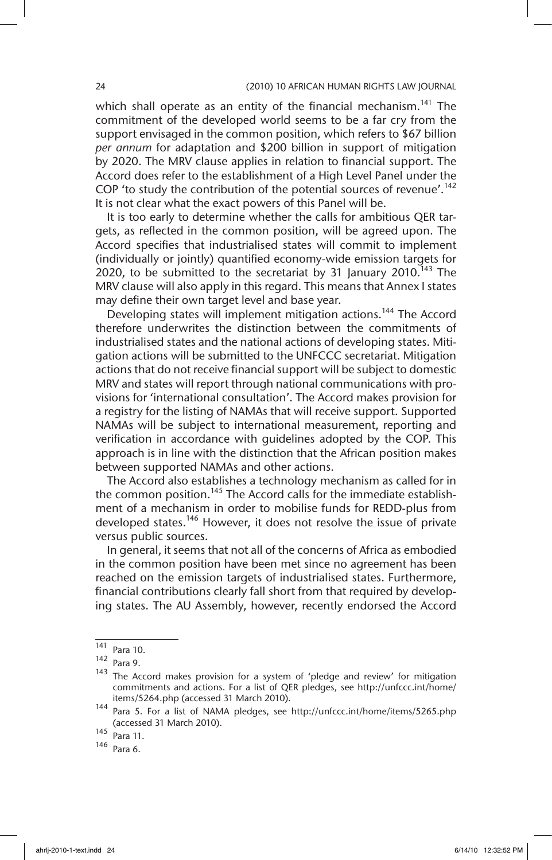which shall operate as an entity of the financial mechanism.<sup>141</sup> The commitment of the developed world seems to be a far cry from the support envisaged in the common position, which refers to \$67 billion *per annum* for adaptation and \$200 billion in support of mitigation by 2020. The MRV clause applies in relation to financial support. The Accord does refer to the establishment of a High Level Panel under the COP 'to study the contribution of the potential sources of revenue'.<sup>142</sup> It is not clear what the exact powers of this Panel will be.

It is too early to determine whether the calls for ambitious QER targets, as reflected in the common position, will be agreed upon. The Accord specifies that industrialised states will commit to implement (individually or jointly) quantified economy-wide emission targets for 2020, to be submitted to the secretariat by 31 January 2010.<sup>143</sup> The MRV clause will also apply in this regard. This means that Annex I states may define their own target level and base year.

Developing states will implement mitigation actions.<sup>144</sup> The Accord therefore underwrites the distinction between the commitments of industrialised states and the national actions of developing states. Mitigation actions will be submitted to the UNFCCC secretariat. Mitigation actions that do not receive financial support will be subject to domestic MRV and states will report through national communications with provisions for 'international consultation'. The Accord makes provision for a registry for the listing of NAMAs that will receive support. Supported NAMAs will be subject to international measurement, reporting and verification in accordance with guidelines adopted by the COP. This approach is in line with the distinction that the African position makes between supported NAMAs and other actions.

The Accord also establishes a technology mechanism as called for in the common position.<sup>145</sup> The Accord calls for the immediate establishment of a mechanism in order to mobilise funds for REDD-plus from developed states.<sup>146</sup> However, it does not resolve the issue of private versus public sources.

In general, it seems that not all of the concerns of Africa as embodied in the common position have been met since no agreement has been reached on the emission targets of industrialised states. Furthermore, financial contributions clearly fall short from that required by developing states. The AU Assembly, however, recently endorsed the Accord

 $141$  Para 10.

<sup>142</sup> Para 9.

 $143$  The Accord makes provision for a system of 'pledge and review' for mitigation commitments and actions. For a list of QER pledges, see http://unfccc.int/home/ items/5264.php (accessed 31 March 2010).

<sup>144</sup> Para 5. For a list of NAMA pledges, see http://unfccc.int/home/items/5265.php (accessed 31 March 2010).

<sup>145</sup> Para 11.

<sup>146</sup> Para 6.